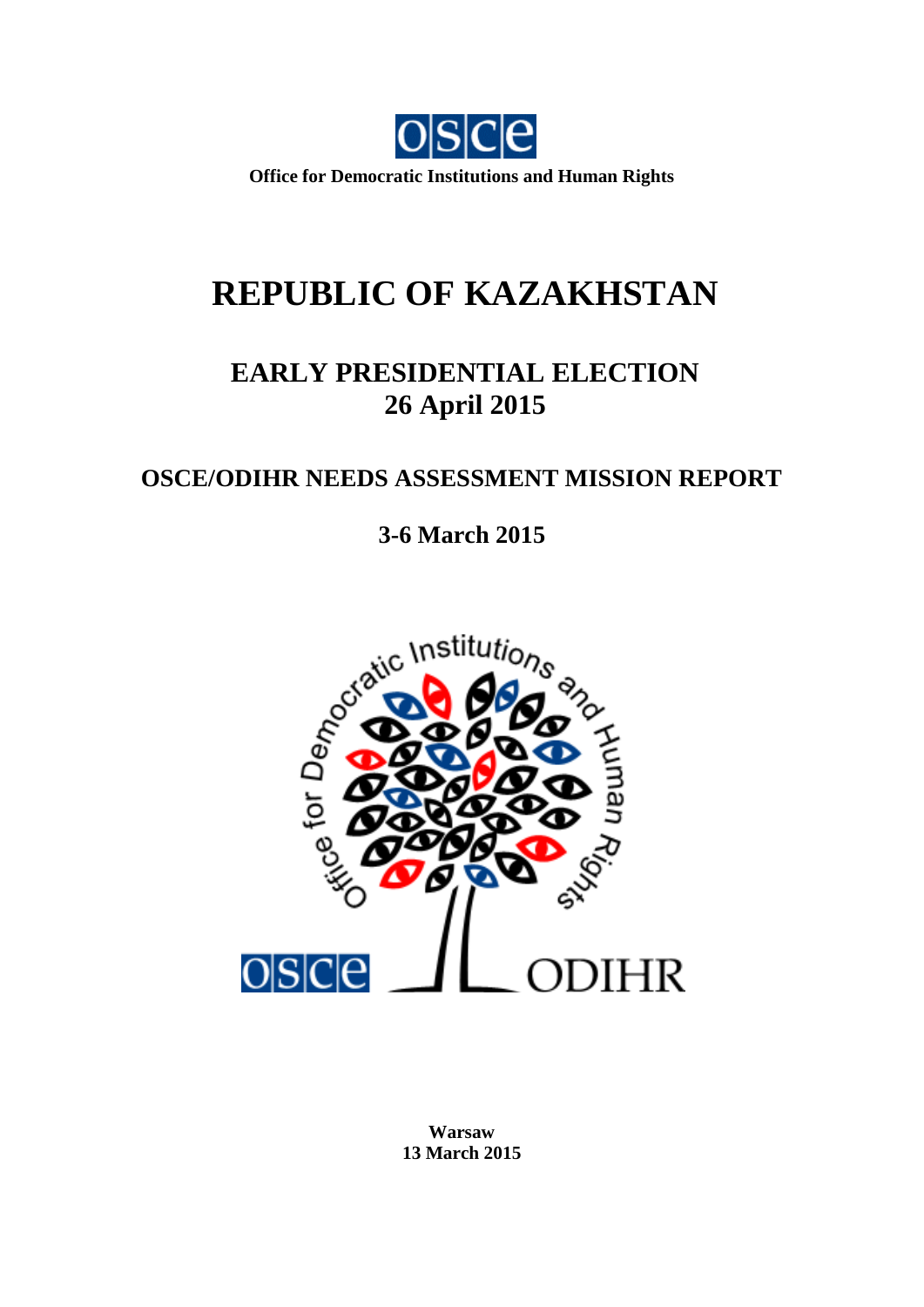

**Office for Democratic Institutions and Human Rights**

# **REPUBLIC OF KAZAKHSTAN**

## **EARLY PRESIDENTIAL ELECTION 26 April 2015**

### **OSCE/ODIHR NEEDS ASSESSMENT MISSION REPORT**

**3-6 March 2015**



**Warsaw 13 March 2015**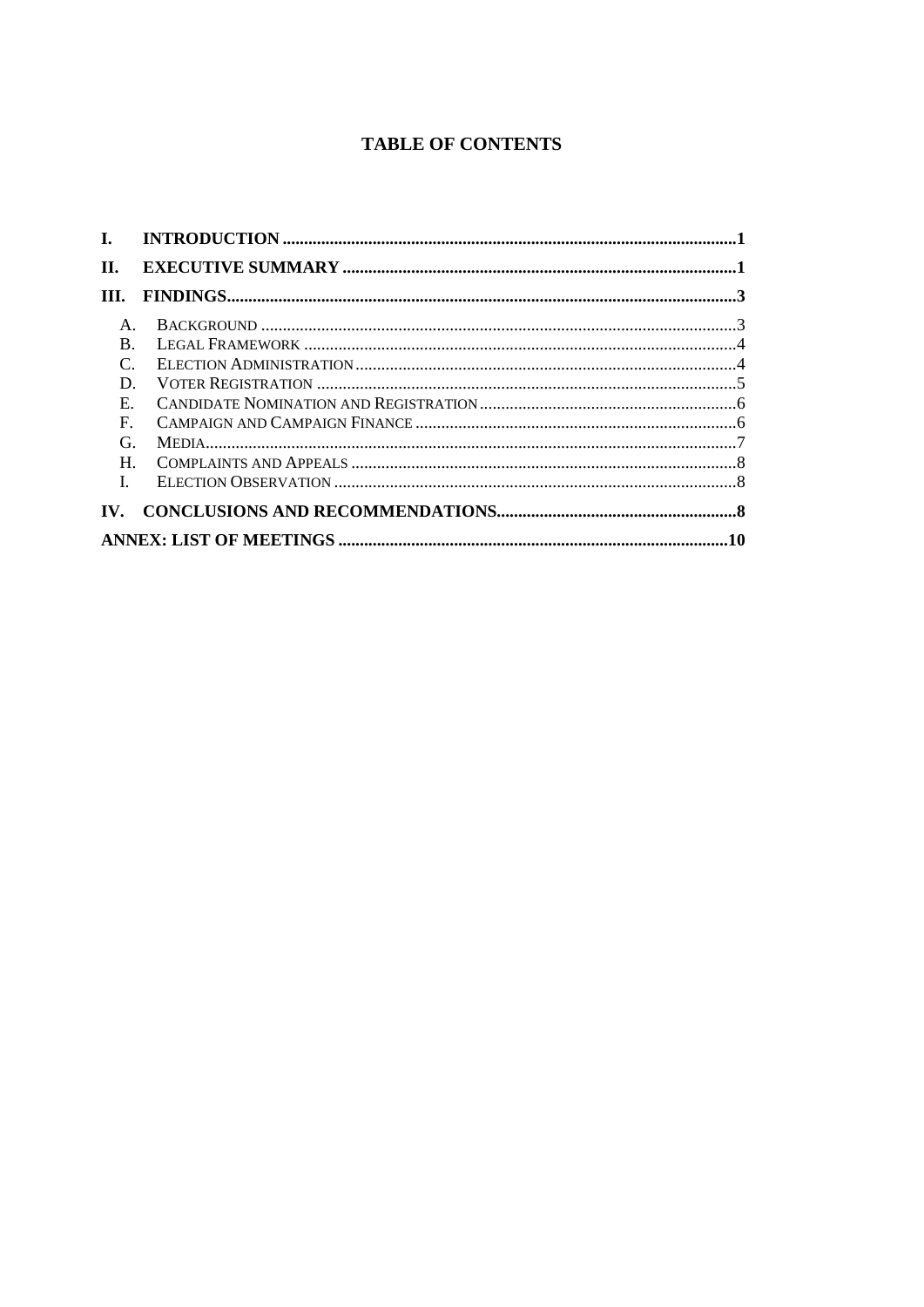#### **TABLE OF CONTENTS**

| П.                   |  |  |
|----------------------|--|--|
| III.                 |  |  |
| $A_{\cdot}$          |  |  |
| B.                   |  |  |
| $C_{\cdot}$          |  |  |
| D.                   |  |  |
| $E_{\rm c}$          |  |  |
| $\mathbf{F}$ .       |  |  |
| G.                   |  |  |
| $H_{\cdot}$          |  |  |
| $\mathbf{I}$         |  |  |
| $\mathbf{W}_{\cdot}$ |  |  |
|                      |  |  |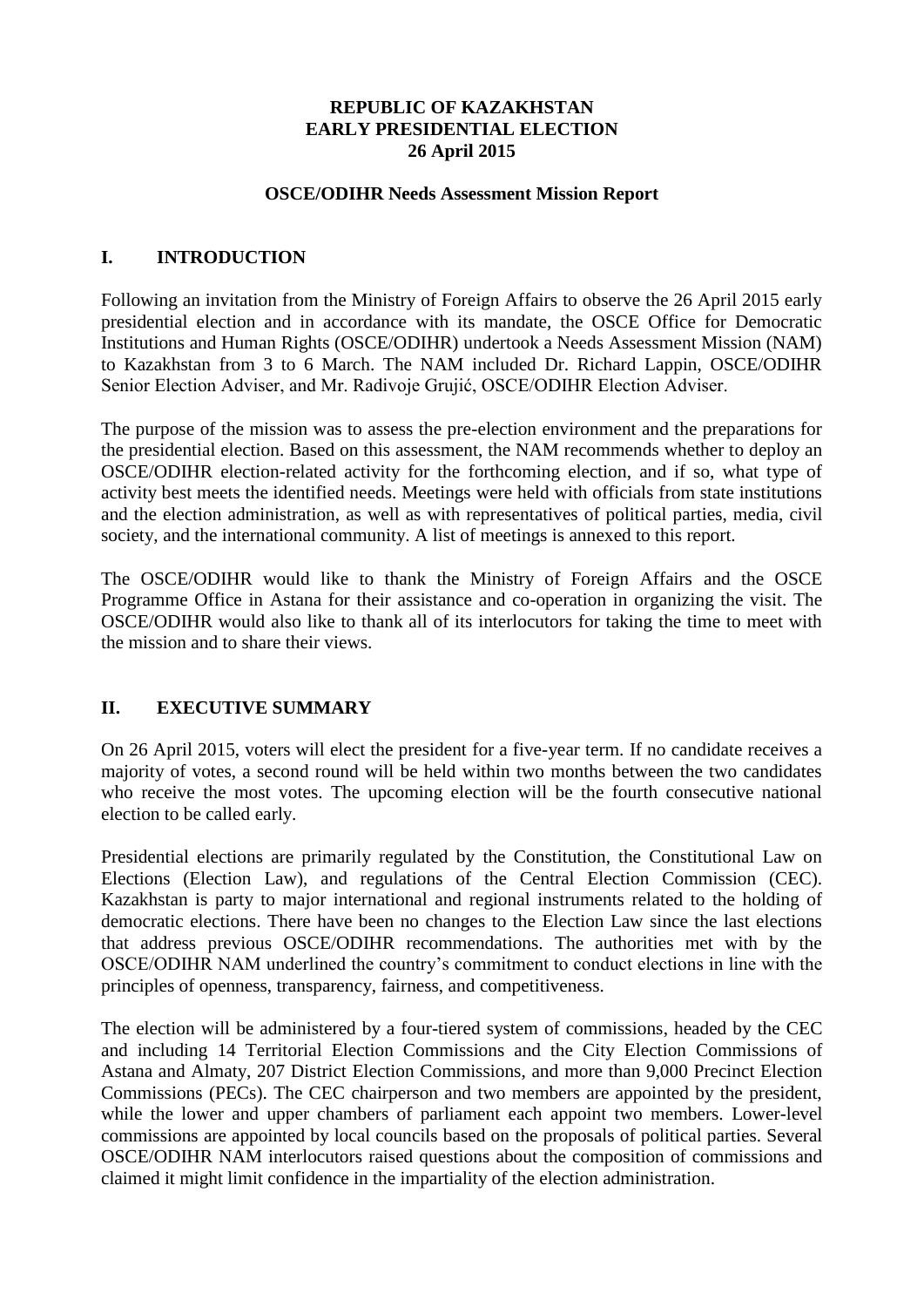#### **REPUBLIC OF KAZAKHSTAN EARLY PRESIDENTIAL ELECTION 26 April 2015**

#### **OSCE/ODIHR Needs Assessment Mission Report**

#### **I. INTRODUCTION**

Following an invitation from the Ministry of Foreign Affairs to observe the 26 April 2015 early presidential election and in accordance with its mandate, the OSCE Office for Democratic Institutions and Human Rights (OSCE/ODIHR) undertook a Needs Assessment Mission (NAM) to Kazakhstan from 3 to 6 March. The NAM included Dr. Richard Lappin, OSCE/ODIHR Senior Election Adviser, and Mr. Radivoje Grujić, OSCE/ODIHR Election Adviser.

The purpose of the mission was to assess the pre-election environment and the preparations for the presidential election. Based on this assessment, the NAM recommends whether to deploy an OSCE/ODIHR election-related activity for the forthcoming election, and if so, what type of activity best meets the identified needs. Meetings were held with officials from state institutions and the election administration, as well as with representatives of political parties, media, civil society, and the international community. A list of meetings is annexed to this report.

The OSCE/ODIHR would like to thank the Ministry of Foreign Affairs and the OSCE Programme Office in Astana for their assistance and co-operation in organizing the visit. The OSCE/ODIHR would also like to thank all of its interlocutors for taking the time to meet with the mission and to share their views.

#### **II. EXECUTIVE SUMMARY**

On 26 April 2015, voters will elect the president for a five-year term. If no candidate receives a majority of votes, a second round will be held within two months between the two candidates who receive the most votes. The upcoming election will be the fourth consecutive national election to be called early.

Presidential elections are primarily regulated by the Constitution, the Constitutional Law on Elections (Election Law), and regulations of the Central Election Commission (CEC). Kazakhstan is party to major international and regional instruments related to the holding of democratic elections. There have been no changes to the Election Law since the last elections that address previous OSCE/ODIHR recommendations. The authorities met with by the OSCE/ODIHR NAM underlined the country"s commitment to conduct elections in line with the principles of openness, transparency, fairness, and competitiveness.

The election will be administered by a four-tiered system of commissions, headed by the CEC and including 14 Territorial Election Commissions and the City Election Commissions of Astana and Almaty, 207 District Election Commissions, and more than 9,000 Precinct Election Commissions (PECs). The CEC chairperson and two members are appointed by the president, while the lower and upper chambers of parliament each appoint two members. Lower-level commissions are appointed by local councils based on the proposals of political parties. Several OSCE/ODIHR NAM interlocutors raised questions about the composition of commissions and claimed it might limit confidence in the impartiality of the election administration.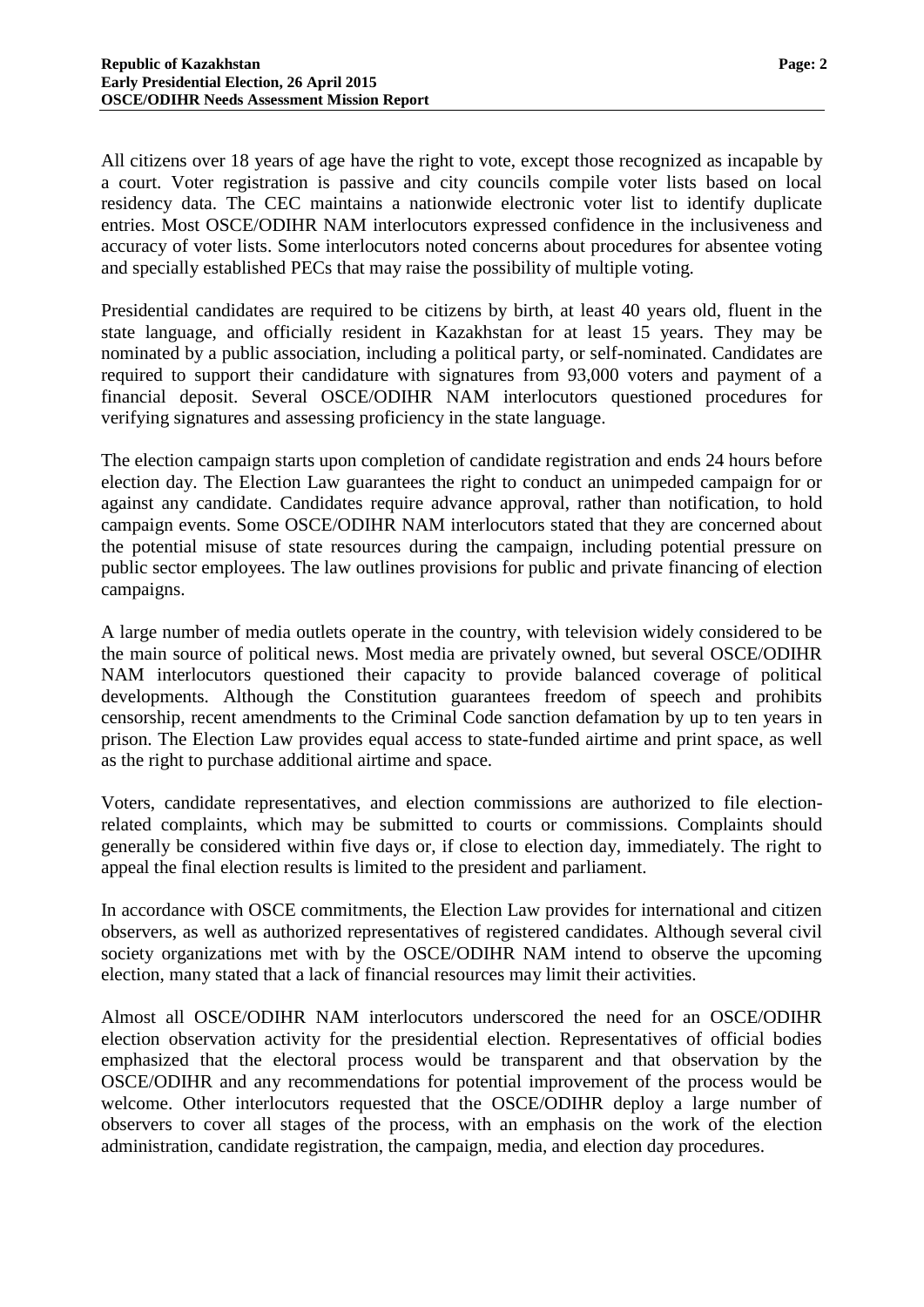All citizens over 18 years of age have the right to vote, except those recognized as incapable by a court. Voter registration is passive and city councils compile voter lists based on local residency data. The CEC maintains a nationwide electronic voter list to identify duplicate entries. Most OSCE/ODIHR NAM interlocutors expressed confidence in the inclusiveness and accuracy of voter lists. Some interlocutors noted concerns about procedures for absentee voting and specially established PECs that may raise the possibility of multiple voting.

Presidential candidates are required to be citizens by birth, at least 40 years old, fluent in the state language, and officially resident in Kazakhstan for at least 15 years. They may be nominated by a public association, including a political party, or self-nominated. Candidates are required to support their candidature with signatures from 93,000 voters and payment of a financial deposit. Several OSCE/ODIHR NAM interlocutors questioned procedures for verifying signatures and assessing proficiency in the state language.

The election campaign starts upon completion of candidate registration and ends 24 hours before election day. The Election Law guarantees the right to conduct an unimpeded campaign for or against any candidate. Candidates require advance approval, rather than notification, to hold campaign events. Some OSCE/ODIHR NAM interlocutors stated that they are concerned about the potential misuse of state resources during the campaign, including potential pressure on public sector employees. The law outlines provisions for public and private financing of election campaigns.

A large number of media outlets operate in the country, with television widely considered to be the main source of political news. Most media are privately owned, but several OSCE/ODIHR NAM interlocutors questioned their capacity to provide balanced coverage of political developments. Although the Constitution guarantees freedom of speech and prohibits censorship, recent amendments to the Criminal Code sanction defamation by up to ten years in prison. The Election Law provides equal access to state-funded airtime and print space, as well as the right to purchase additional airtime and space.

Voters, candidate representatives, and election commissions are authorized to file electionrelated complaints, which may be submitted to courts or commissions. Complaints should generally be considered within five days or, if close to election day, immediately. The right to appeal the final election results is limited to the president and parliament.

In accordance with OSCE commitments, the Election Law provides for international and citizen observers, as well as authorized representatives of registered candidates. Although several civil society organizations met with by the OSCE/ODIHR NAM intend to observe the upcoming election, many stated that a lack of financial resources may limit their activities.

Almost all OSCE/ODIHR NAM interlocutors underscored the need for an OSCE/ODIHR election observation activity for the presidential election. Representatives of official bodies emphasized that the electoral process would be transparent and that observation by the OSCE/ODIHR and any recommendations for potential improvement of the process would be welcome. Other interlocutors requested that the OSCE/ODIHR deploy a large number of observers to cover all stages of the process, with an emphasis on the work of the election administration, candidate registration, the campaign, media, and election day procedures.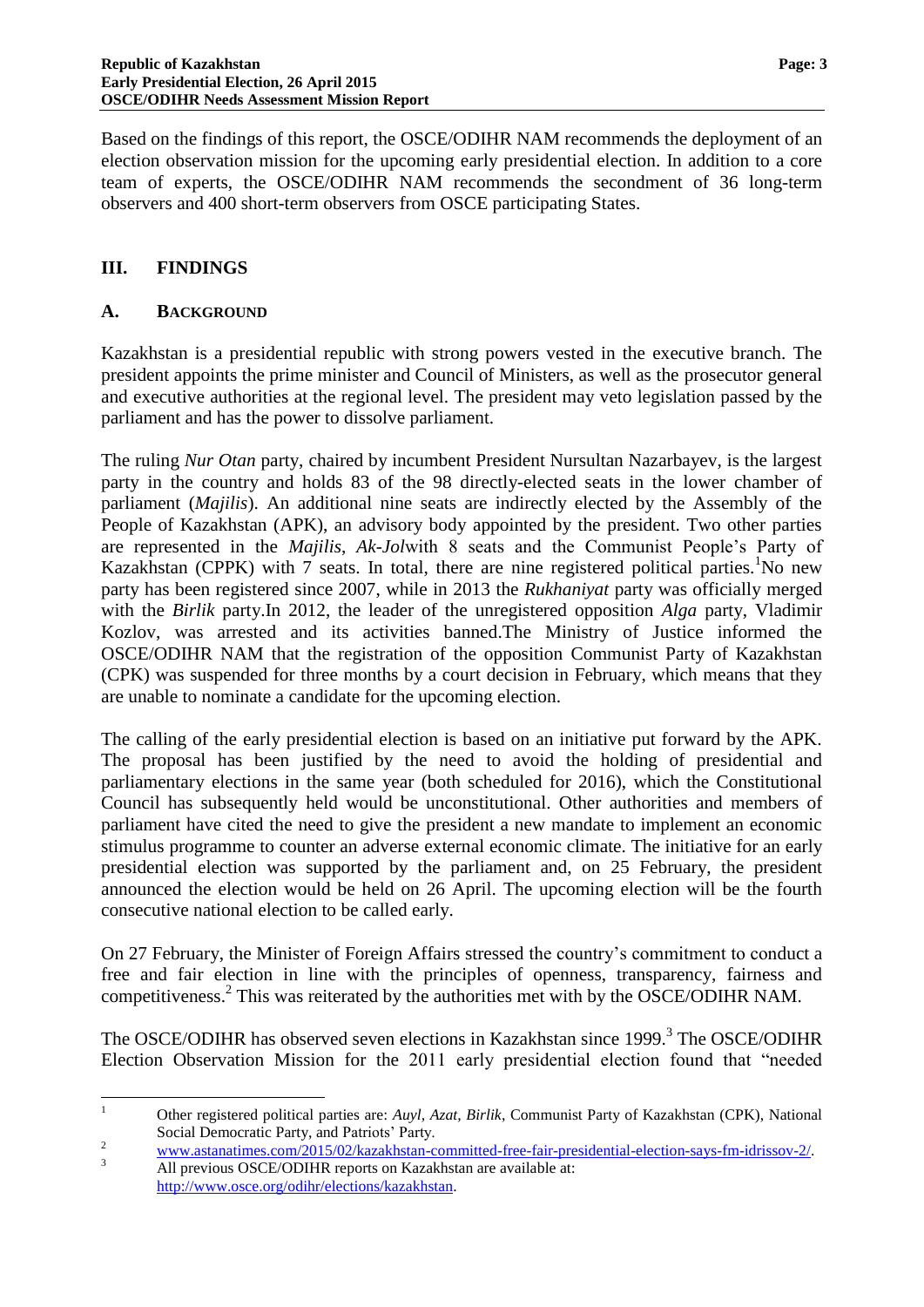Based on the findings of this report, the OSCE/ODIHR NAM recommends the deployment of an election observation mission for the upcoming early presidential election. In addition to a core team of experts, the OSCE/ODIHR NAM recommends the secondment of 36 long-term observers and 400 short-term observers from OSCE participating States.

#### **III. FINDINGS**

#### **A. BACKGROUND**

Kazakhstan is a presidential republic with strong powers vested in the executive branch. The president appoints the prime minister and Council of Ministers, as well as the prosecutor general and executive authorities at the regional level. The president may veto legislation passed by the parliament and has the power to dissolve parliament.

The ruling *Nur Otan* party, chaired by incumbent President Nursultan Nazarbayev, is the largest party in the country and holds 83 of the 98 directly-elected seats in the lower chamber of parliament (*Majilis*). An additional nine seats are indirectly elected by the Assembly of the People of Kazakhstan (APK), an advisory body appointed by the president. Two other parties are represented in the *Majilis*, *Ak-Jol*with 8 seats and the Communist People"s Party of Kazakhstan (CPPK) with 7 seats. In total, there are nine registered political parties. No new party has been registered since 2007, while in 2013 the *Rukhaniyat* party was officially merged with the *Birlik* party.In 2012, the leader of the unregistered opposition *Alga* party, Vladimir Kozlov, was arrested and its activities banned.The Ministry of Justice informed the OSCE/ODIHR NAM that the registration of the opposition Communist Party of Kazakhstan (CPK) was suspended for three months by a court decision in February, which means that they are unable to nominate a candidate for the upcoming election.

The calling of the early presidential election is based on an initiative put forward by the APK. The proposal has been justified by the need to avoid the holding of presidential and parliamentary elections in the same year (both scheduled for 2016), which the Constitutional Council has subsequently held would be unconstitutional. Other authorities and members of parliament have cited the need to give the president a new mandate to implement an economic stimulus programme to counter an adverse external economic climate. The initiative for an early presidential election was supported by the parliament and, on 25 February, the president announced the election would be held on 26 April. The upcoming election will be the fourth consecutive national election to be called early.

On 27 February, the Minister of Foreign Affairs stressed the country"s commitment to conduct a free and fair election in line with the principles of openness, transparency, fairness and competitiveness. 2 This was reiterated by the authorities met with by the OSCE/ODIHR NAM.

The OSCE/ODIHR has observed seven elections in Kazakhstan since 1999.<sup>3</sup> The OSCE/ODIHR Election Observation Mission for the 2011 early presidential election found that "needed

 $\mathbf{1}$ <sup>1</sup> Other registered political parties are: *Auyl, Azat, Birlik*, Communist Party of Kazakhstan (CPK), National Social Democratic Party, and Patriots' Party.

<sup>&</sup>lt;sup>2</sup> [www.astanatimes.com/2015/02/kazakhstan-committed-free-fair-presidential-election-says-fm-idrissov-2/.](http://www.astanatimes.com/2015/02/kazakhstan-committed-free-fair-presidential-election-says-fm-idrissov-2/)<br><sup>3</sup> WWW.astanatimes.com/2015/02/kazakhstan-committed-free-fair-presidential-election-says-fm-idrissov-2/.

All previous OSCE/ODIHR reports on Kazakhstan are available at: [http://www.osce.org/odihr/elections/kazakhstan.](http://www.osce.org/odihr/elections/kazakhstan)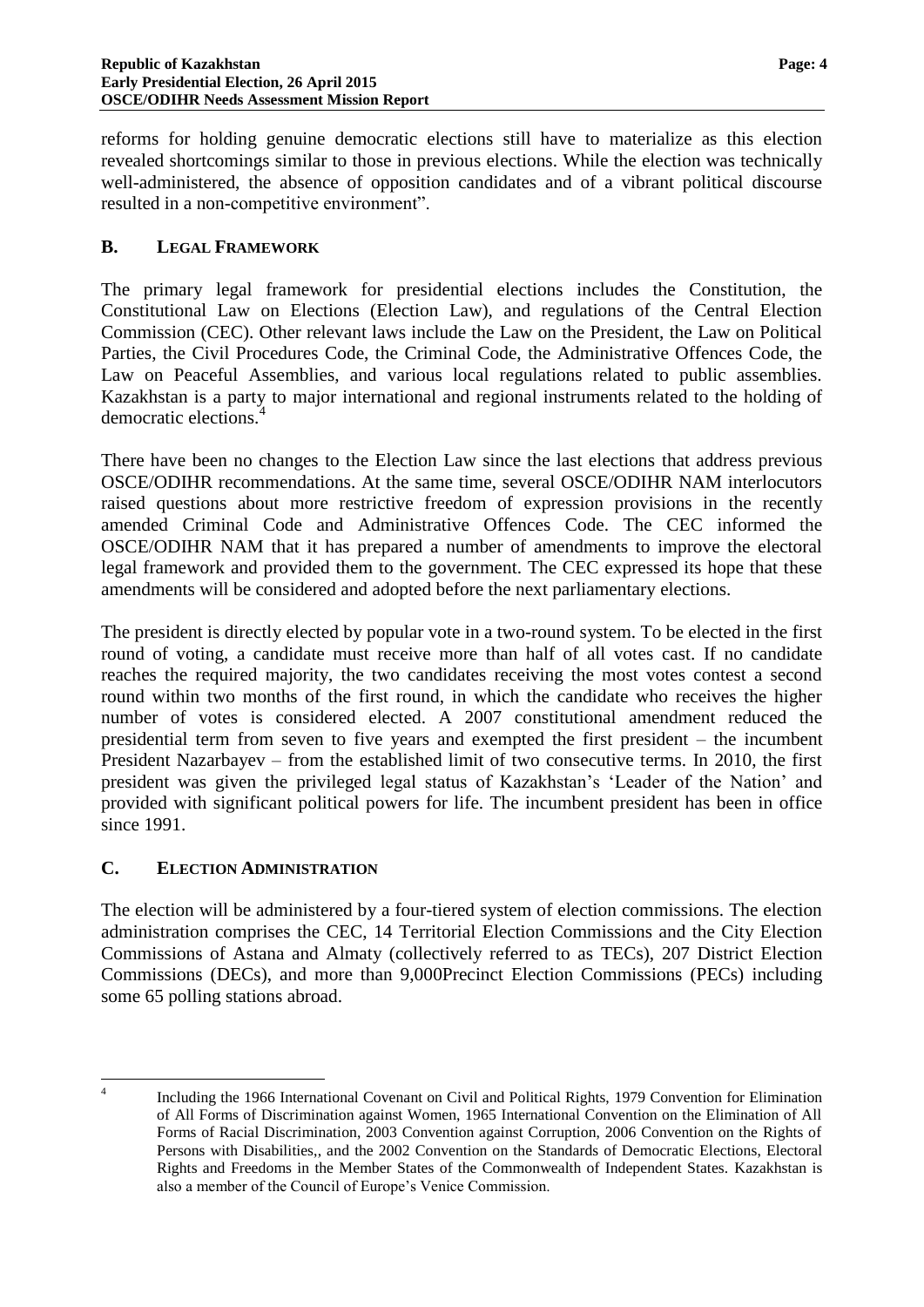reforms for holding genuine democratic elections still have to materialize as this election revealed shortcomings similar to those in previous elections. While the election was technically well-administered, the absence of opposition candidates and of a vibrant political discourse resulted in a non-competitive environment".

#### **B. LEGAL FRAMEWORK**

The primary legal framework for presidential elections includes the Constitution, the Constitutional Law on Elections (Election Law), and regulations of the Central Election Commission (CEC). Other relevant laws include the Law on the President, the Law on Political Parties, the Civil Procedures Code, the Criminal Code, the Administrative Offences Code, the Law on Peaceful Assemblies, and various local regulations related to public assemblies. Kazakhstan is a party to major international and regional instruments related to the holding of democratic elections.

There have been no changes to the Election Law since the last elections that address previous OSCE/ODIHR recommendations. At the same time, several OSCE/ODIHR NAM interlocutors raised questions about more restrictive freedom of expression provisions in the recently amended Criminal Code and Administrative Offences Code. The CEC informed the OSCE/ODIHR NAM that it has prepared a number of amendments to improve the electoral legal framework and provided them to the government. The CEC expressed its hope that these amendments will be considered and adopted before the next parliamentary elections.

The president is directly elected by popular vote in a two-round system. To be elected in the first round of voting, a candidate must receive more than half of all votes cast. If no candidate reaches the required majority, the two candidates receiving the most votes contest a second round within two months of the first round, in which the candidate who receives the higher number of votes is considered elected. A 2007 constitutional amendment reduced the presidential term from seven to five years and exempted the first president – the incumbent President Nazarbayev – from the established limit of two consecutive terms. In 2010, the first president was given the privileged legal status of Kazakhstan"s "Leader of the Nation" and provided with significant political powers for life. The incumbent president has been in office since 1991.

#### **C. ELECTION ADMINISTRATION**

The election will be administered by a four-tiered system of election commissions. The election administration comprises the CEC, 14 Territorial Election Commissions and the City Election Commissions of Astana and Almaty (collectively referred to as TECs), 207 District Election Commissions (DECs), and more than 9,000Precinct Election Commissions (PECs) including some 65 polling stations abroad.

 $\frac{1}{4}$ Including the 1966 International Covenant on Civil and Political Rights, 1979 Convention for Elimination of All Forms of Discrimination against Women, 1965 International Convention on the Elimination of All Forms of Racial Discrimination, 2003 Convention against Corruption, 2006 Convention on the Rights of Persons with Disabilities,, and the 2002 Convention on the Standards of Democratic Elections, Electoral Rights and Freedoms in the Member States of the Commonwealth of Independent States. Kazakhstan is also a member of the Council of Europe"s Venice Commission.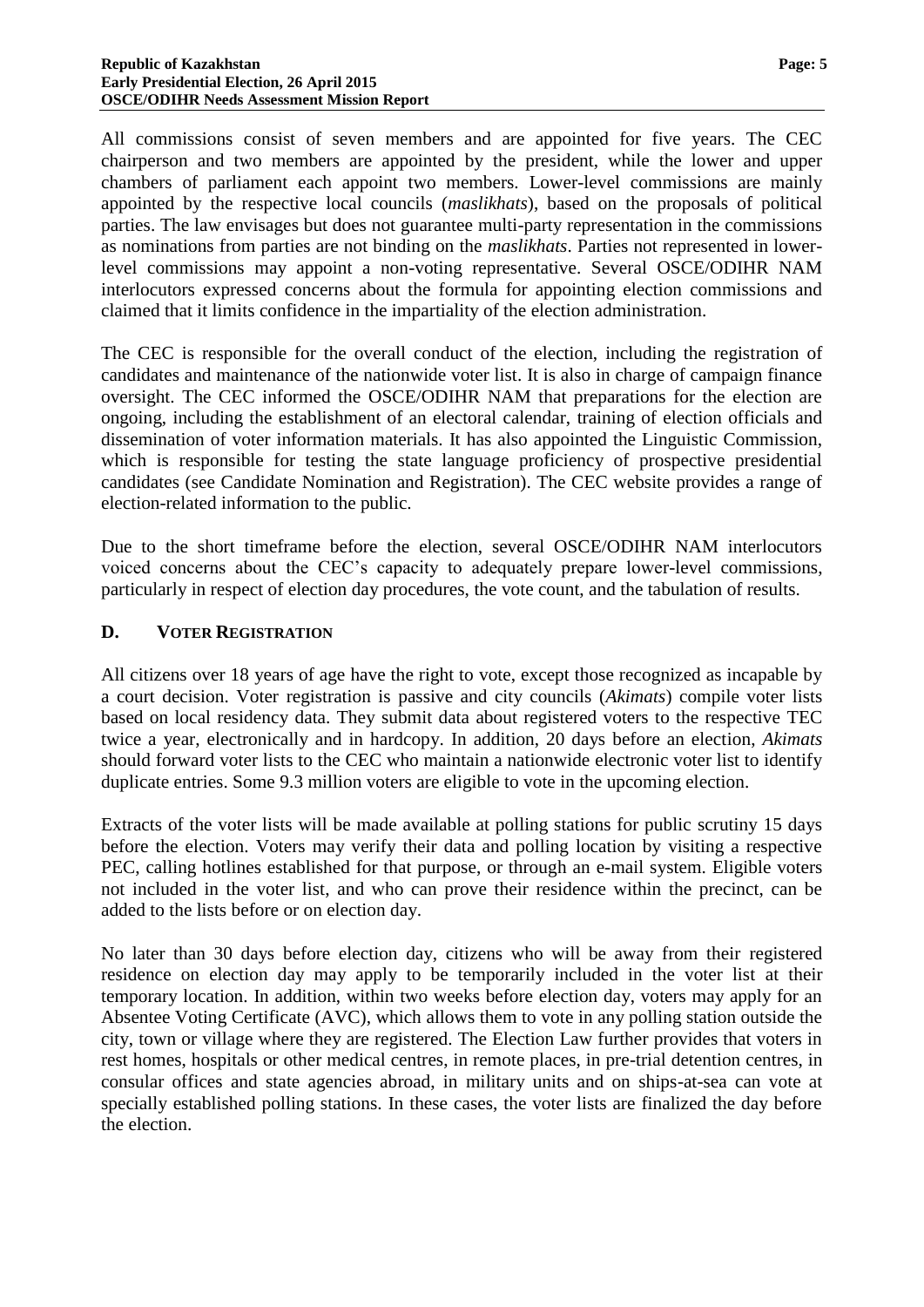All commissions consist of seven members and are appointed for five years. The CEC chairperson and two members are appointed by the president, while the lower and upper chambers of parliament each appoint two members. Lower-level commissions are mainly appointed by the respective local councils (*maslikhats*), based on the proposals of political parties. The law envisages but does not guarantee multi-party representation in the commissions as nominations from parties are not binding on the *maslikhats*. Parties not represented in lowerlevel commissions may appoint a non-voting representative. Several OSCE/ODIHR NAM interlocutors expressed concerns about the formula for appointing election commissions and claimed that it limits confidence in the impartiality of the election administration.

The CEC is responsible for the overall conduct of the election, including the registration of candidates and maintenance of the nationwide voter list. It is also in charge of campaign finance oversight. The CEC informed the OSCE/ODIHR NAM that preparations for the election are ongoing, including the establishment of an electoral calendar, training of election officials and dissemination of voter information materials. It has also appointed the Linguistic Commission, which is responsible for testing the state language proficiency of prospective presidential candidates (see Candidate Nomination and Registration). The CEC website provides a range of election-related information to the public.

Due to the short timeframe before the election, several OSCE/ODIHR NAM interlocutors voiced concerns about the CEC"s capacity to adequately prepare lower-level commissions, particularly in respect of election day procedures, the vote count, and the tabulation of results.

#### **D. VOTER REGISTRATION**

All citizens over 18 years of age have the right to vote, except those recognized as incapable by a court decision. Voter registration is passive and city councils (*Akimats*) compile voter lists based on local residency data. They submit data about registered voters to the respective TEC twice a year, electronically and in hardcopy. In addition, 20 days before an election, *Akimats* should forward voter lists to the CEC who maintain a nationwide electronic voter list to identify duplicate entries. Some 9.3 million voters are eligible to vote in the upcoming election.

Extracts of the voter lists will be made available at polling stations for public scrutiny 15 days before the election. Voters may verify their data and polling location by visiting a respective PEC, calling hotlines established for that purpose, or through an e-mail system. Eligible voters not included in the voter list, and who can prove their residence within the precinct, can be added to the lists before or on election day.

No later than 30 days before election day, citizens who will be away from their registered residence on election day may apply to be temporarily included in the voter list at their temporary location. In addition, within two weeks before election day, voters may apply for an Absentee Voting Certificate (AVC), which allows them to vote in any polling station outside the city, town or village where they are registered. The Election Law further provides that voters in rest homes, hospitals or other medical centres, in remote places, in pre-trial detention centres, in consular offices and state agencies abroad, in military units and on ships-at-sea can vote at specially established polling stations. In these cases, the voter lists are finalized the day before the election.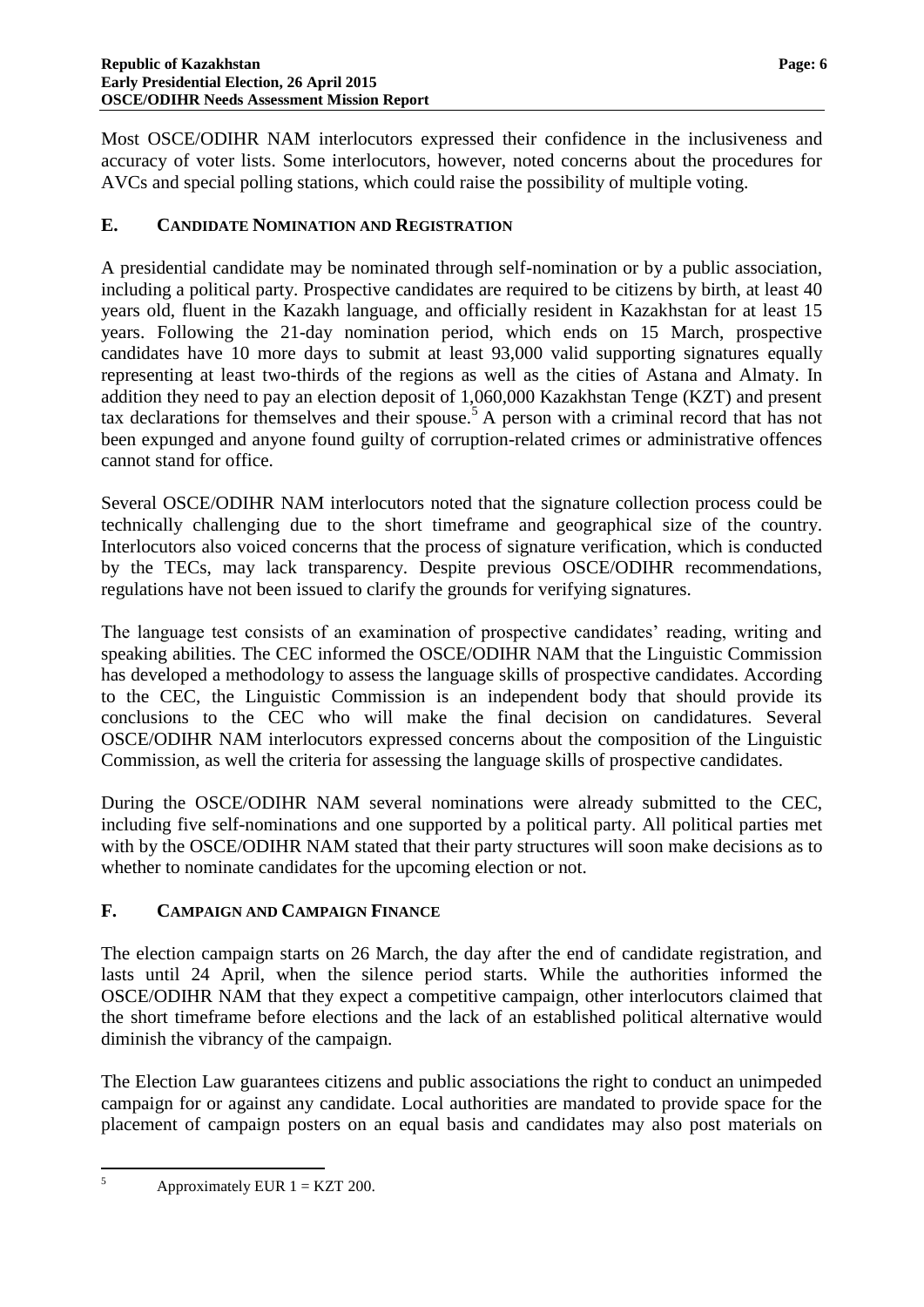Most OSCE/ODIHR NAM interlocutors expressed their confidence in the inclusiveness and accuracy of voter lists. Some interlocutors, however, noted concerns about the procedures for AVCs and special polling stations, which could raise the possibility of multiple voting.

#### **E. CANDIDATE NOMINATION AND REGISTRATION**

A presidential candidate may be nominated through self-nomination or by a public association, including a political party. Prospective candidates are required to be citizens by birth, at least 40 years old, fluent in the Kazakh language, and officially resident in Kazakhstan for at least 15 years. Following the 21-day nomination period, which ends on 15 March, prospective candidates have 10 more days to submit at least 93,000 valid supporting signatures equally representing at least two-thirds of the regions as well as the cities of Astana and Almaty. In addition they need to pay an election deposit of 1,060,000 Kazakhstan Tenge (KZT) and present tax declarations for themselves and their spouse.<sup>5</sup> A person with a criminal record that has not been expunged and anyone found guilty of corruption-related crimes or administrative offences cannot stand for office.

Several OSCE/ODIHR NAM interlocutors noted that the signature collection process could be technically challenging due to the short timeframe and geographical size of the country. Interlocutors also voiced concerns that the process of signature verification, which is conducted by the TECs, may lack transparency. Despite previous OSCE/ODIHR recommendations, regulations have not been issued to clarify the grounds for verifying signatures.

The language test consists of an examination of prospective candidates' reading, writing and speaking abilities. The CEC informed the OSCE/ODIHR NAM that the Linguistic Commission has developed a methodology to assess the language skills of prospective candidates. According to the CEC, the Linguistic Commission is an independent body that should provide its conclusions to the CEC who will make the final decision on candidatures. Several OSCE/ODIHR NAM interlocutors expressed concerns about the composition of the Linguistic Commission, as well the criteria for assessing the language skills of prospective candidates.

During the OSCE/ODIHR NAM several nominations were already submitted to the CEC, including five self-nominations and one supported by a political party. All political parties met with by the OSCE/ODIHR NAM stated that their party structures will soon make decisions as to whether to nominate candidates for the upcoming election or not.

#### **F. CAMPAIGN AND CAMPAIGN FINANCE**

The election campaign starts on 26 March, the day after the end of candidate registration, and lasts until 24 April, when the silence period starts. While the authorities informed the OSCE/ODIHR NAM that they expect a competitive campaign, other interlocutors claimed that the short timeframe before elections and the lack of an established political alternative would diminish the vibrancy of the campaign.

The Election Law guarantees citizens and public associations the right to conduct an unimpeded campaign for or against any candidate. Local authorities are mandated to provide space for the placement of campaign posters on an equal basis and candidates may also post materials on

 $\sqrt{5}$ 

Approximately EUR  $1 = KZT$  200.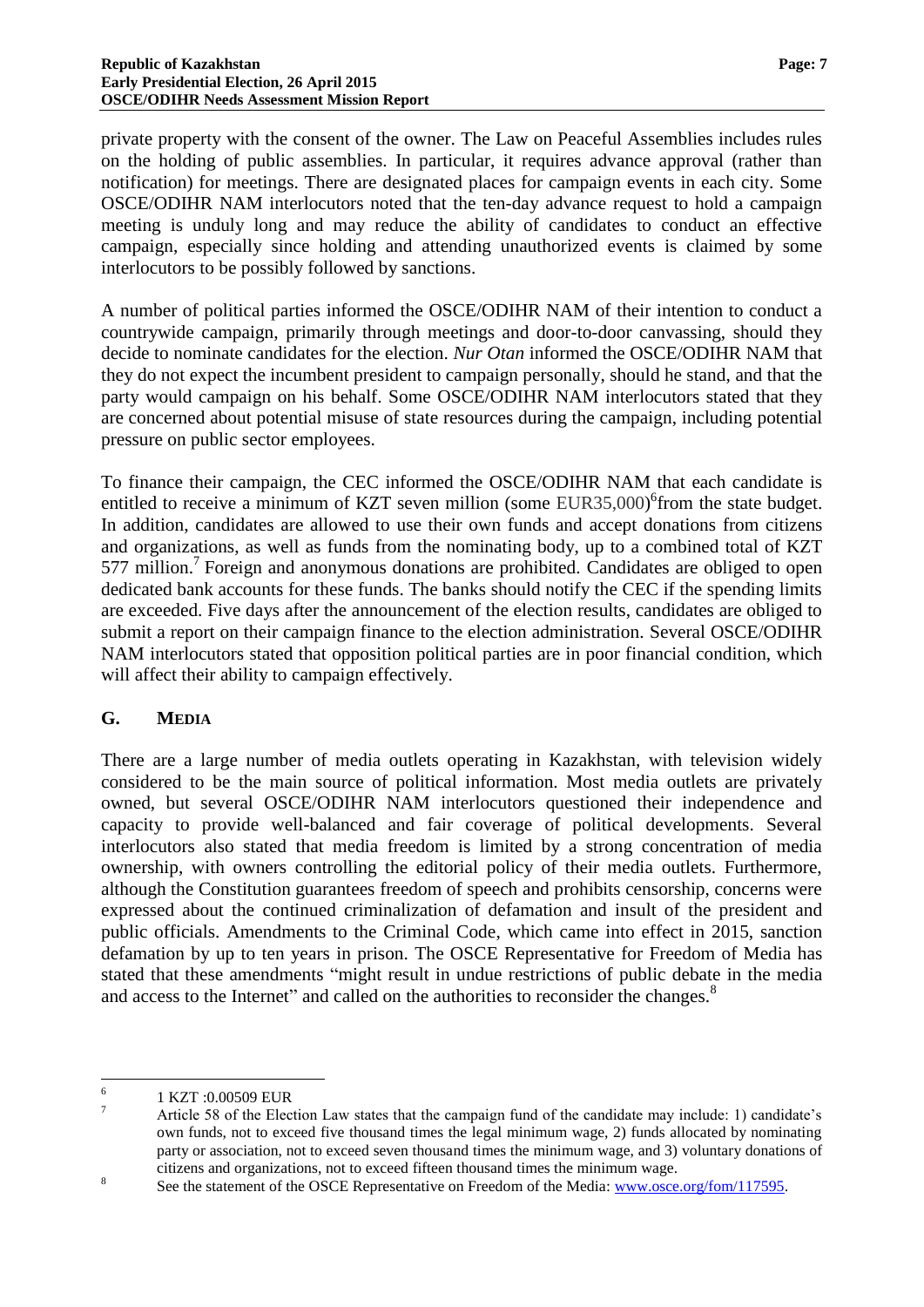private property with the consent of the owner. The Law on Peaceful Assemblies includes rules on the holding of public assemblies. In particular, it requires advance approval (rather than notification) for meetings. There are designated places for campaign events in each city. Some OSCE/ODIHR NAM interlocutors noted that the ten-day advance request to hold a campaign meeting is unduly long and may reduce the ability of candidates to conduct an effective campaign, especially since holding and attending unauthorized events is claimed by some interlocutors to be possibly followed by sanctions.

A number of political parties informed the OSCE/ODIHR NAM of their intention to conduct a countrywide campaign, primarily through meetings and door-to-door canvassing, should they decide to nominate candidates for the election. *Nur Otan* informed the OSCE/ODIHR NAM that they do not expect the incumbent president to campaign personally, should he stand, and that the party would campaign on his behalf. Some OSCE/ODIHR NAM interlocutors stated that they are concerned about potential misuse of state resources during the campaign, including potential pressure on public sector employees.

To finance their campaign, the CEC informed the OSCE/ODIHR NAM that each candidate is entitled to receive a minimum of KZT seven million (some EUR35,000)<sup>6</sup>from the state budget. In addition, candidates are allowed to use their own funds and accept donations from citizens and organizations, as well as funds from the nominating body, up to a combined total of KZT 577 million.<sup>7</sup> Foreign and anonymous donations are prohibited. Candidates are obliged to open dedicated bank accounts for these funds. The banks should notify the CEC if the spending limits are exceeded. Five days after the announcement of the election results, candidates are obliged to submit a report on their campaign finance to the election administration. Several OSCE/ODIHR NAM interlocutors stated that opposition political parties are in poor financial condition, which will affect their ability to campaign effectively.

#### **G. MEDIA**

There are a large number of media outlets operating in Kazakhstan, with television widely considered to be the main source of political information. Most media outlets are privately owned, but several OSCE/ODIHR NAM interlocutors questioned their independence and capacity to provide well-balanced and fair coverage of political developments. Several interlocutors also stated that media freedom is limited by a strong concentration of media ownership, with owners controlling the editorial policy of their media outlets. Furthermore, although the Constitution guarantees freedom of speech and prohibits censorship, concerns were expressed about the continued criminalization of defamation and insult of the president and public officials. Amendments to the Criminal Code, which came into effect in 2015, sanction defamation by up to ten years in prison. The OSCE Representative for Freedom of Media has stated that these amendments "might result in undue restrictions of public debate in the media and access to the Internet" and called on the authorities to reconsider the changes.<sup>8</sup>

 $\frac{1}{6}$ 1 KZT :0.00509 EUR

<sup>&</sup>lt;sup>7</sup> Article 58 of the Election Law states that the campaign fund of the candidate may include: 1) candidate's own funds, not to exceed five thousand times the legal minimum wage, 2) funds allocated by nominating party or association, not to exceed seven thousand times the minimum wage, and 3) voluntary donations of citizens and organizations, not to exceed fifteen thousand times the minimum wage.

<sup>8</sup> See the statement of the OSCE Representative on Freedom of the Media: [www.osce.org/fom/117595.](file:///C:\Users\BMartin-Rozumilowicz\AppData\Local\Microsoft\Windows\Temporary%20Internet%20Files\Content.Outlook\DQE780FG\www.osce.org\fom\117595)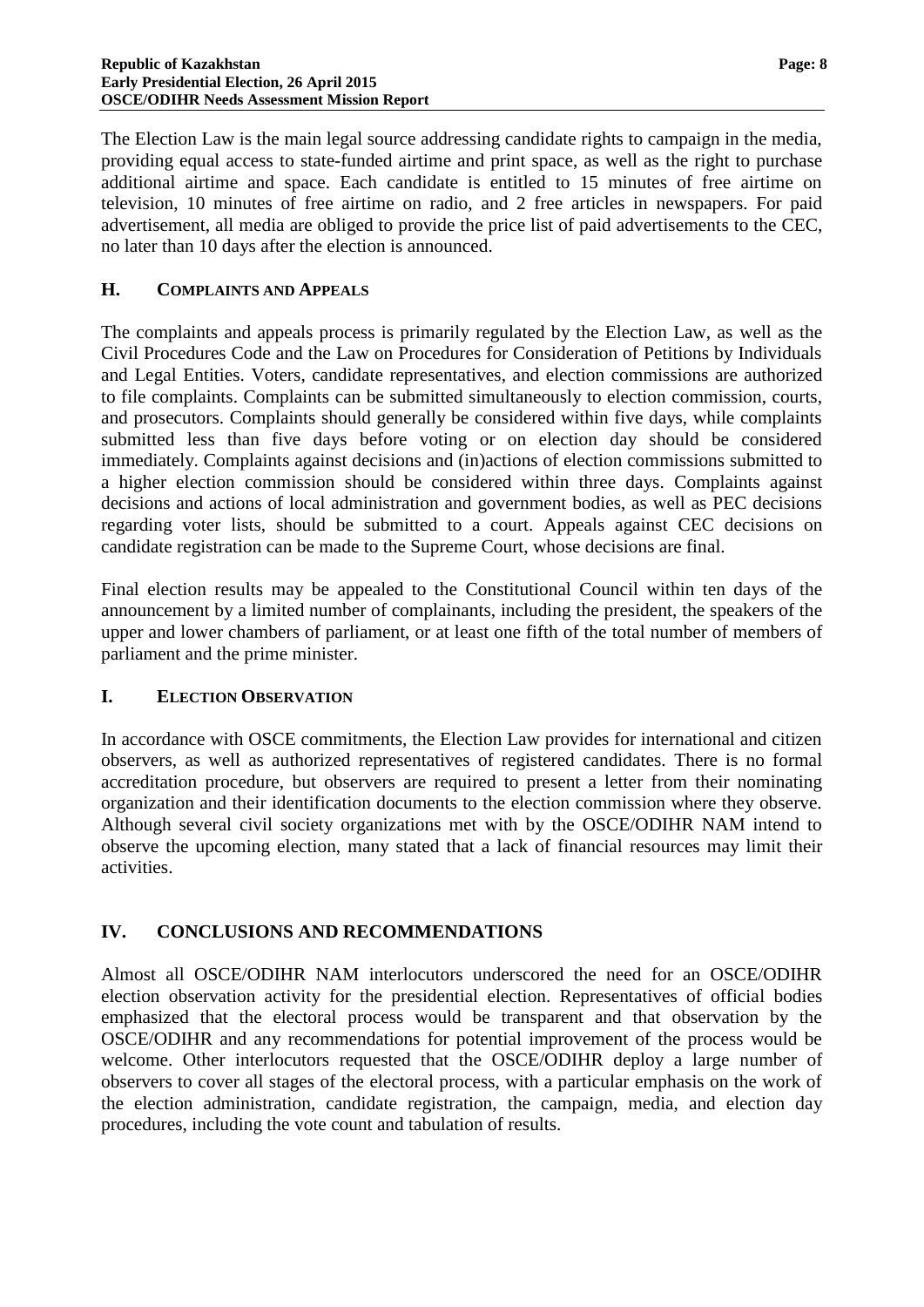The Election Law is the main legal source addressing candidate rights to campaign in the media, providing equal access to state-funded airtime and print space, as well as the right to purchase additional airtime and space. Each candidate is entitled to 15 minutes of free airtime on television, 10 minutes of free airtime on radio, and 2 free articles in newspapers. For paid advertisement, all media are obliged to provide the price list of paid advertisements to the CEC, no later than 10 days after the election is announced.

#### **H. COMPLAINTS AND APPEALS**

The complaints and appeals process is primarily regulated by the Election Law, as well as the Civil Procedures Code and the Law on Procedures for Consideration of Petitions by Individuals and Legal Entities. Voters, candidate representatives, and election commissions are authorized to file complaints. Complaints can be submitted simultaneously to election commission, courts, and prosecutors. Complaints should generally be considered within five days, while complaints submitted less than five days before voting or on election day should be considered immediately. Complaints against decisions and (in)actions of election commissions submitted to a higher election commission should be considered within three days. Complaints against decisions and actions of local administration and government bodies, as well as PEC decisions regarding voter lists, should be submitted to a court. Appeals against CEC decisions on candidate registration can be made to the Supreme Court, whose decisions are final.

Final election results may be appealed to the Constitutional Council within ten days of the announcement by a limited number of complainants, including the president, the speakers of the upper and lower chambers of parliament, or at least one fifth of the total number of members of parliament and the prime minister.

#### **I. ELECTION OBSERVATION**

In accordance with OSCE commitments, the Election Law provides for international and citizen observers, as well as authorized representatives of registered candidates. There is no formal accreditation procedure, but observers are required to present a letter from their nominating organization and their identification documents to the election commission where they observe. Although several civil society organizations met with by the OSCE/ODIHR NAM intend to observe the upcoming election, many stated that a lack of financial resources may limit their activities.

#### **IV. CONCLUSIONS AND RECOMMENDATIONS**

Almost all OSCE/ODIHR NAM interlocutors underscored the need for an OSCE/ODIHR election observation activity for the presidential election. Representatives of official bodies emphasized that the electoral process would be transparent and that observation by the OSCE/ODIHR and any recommendations for potential improvement of the process would be welcome. Other interlocutors requested that the OSCE/ODIHR deploy a large number of observers to cover all stages of the electoral process, with a particular emphasis on the work of the election administration, candidate registration, the campaign, media, and election day procedures, including the vote count and tabulation of results.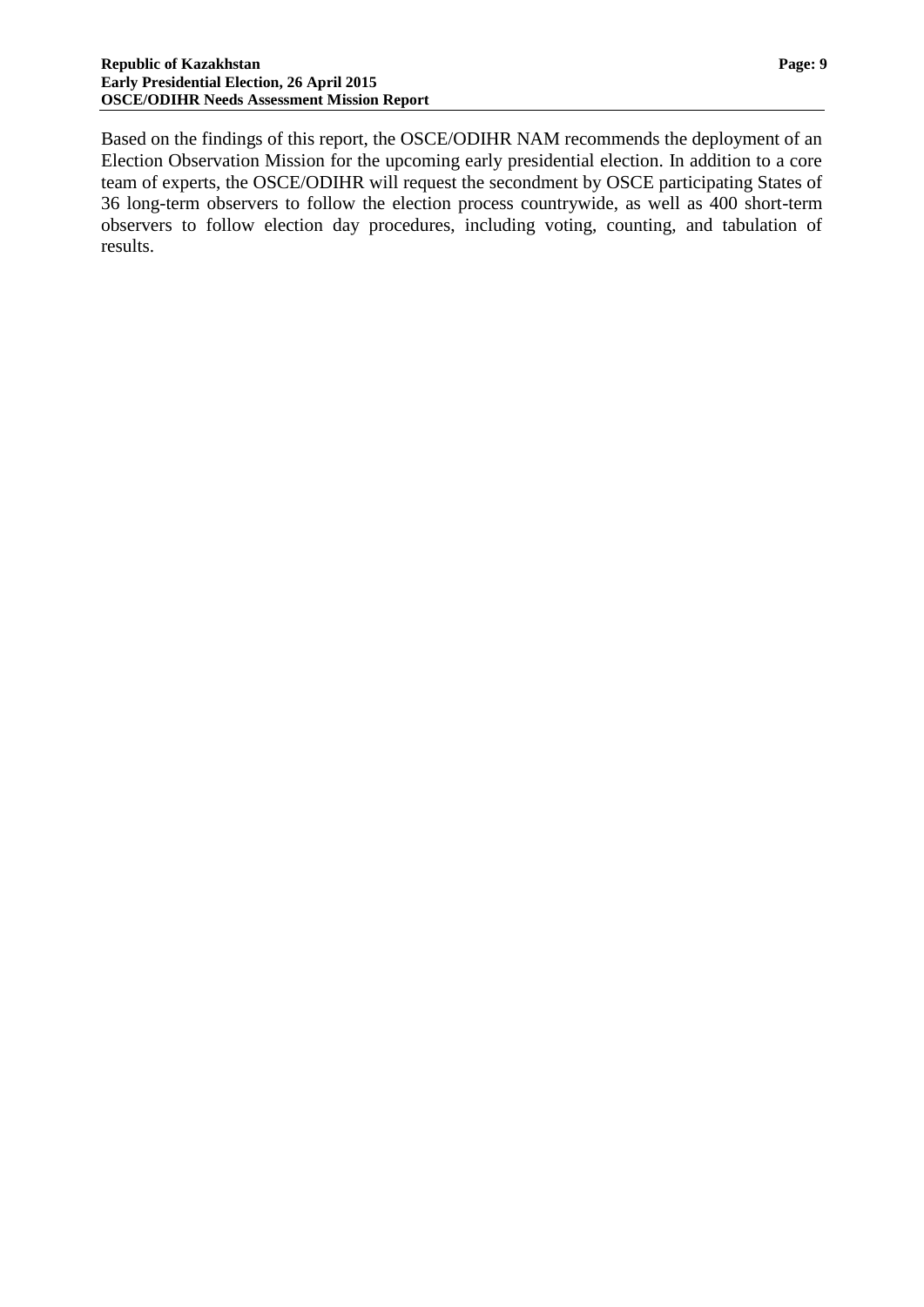Based on the findings of this report, the OSCE/ODIHR NAM recommends the deployment of an Election Observation Mission for the upcoming early presidential election. In addition to a core team of experts, the OSCE/ODIHR will request the secondment by OSCE participating States of 36 long-term observers to follow the election process countrywide, as well as 400 short-term observers to follow election day procedures, including voting, counting, and tabulation of results.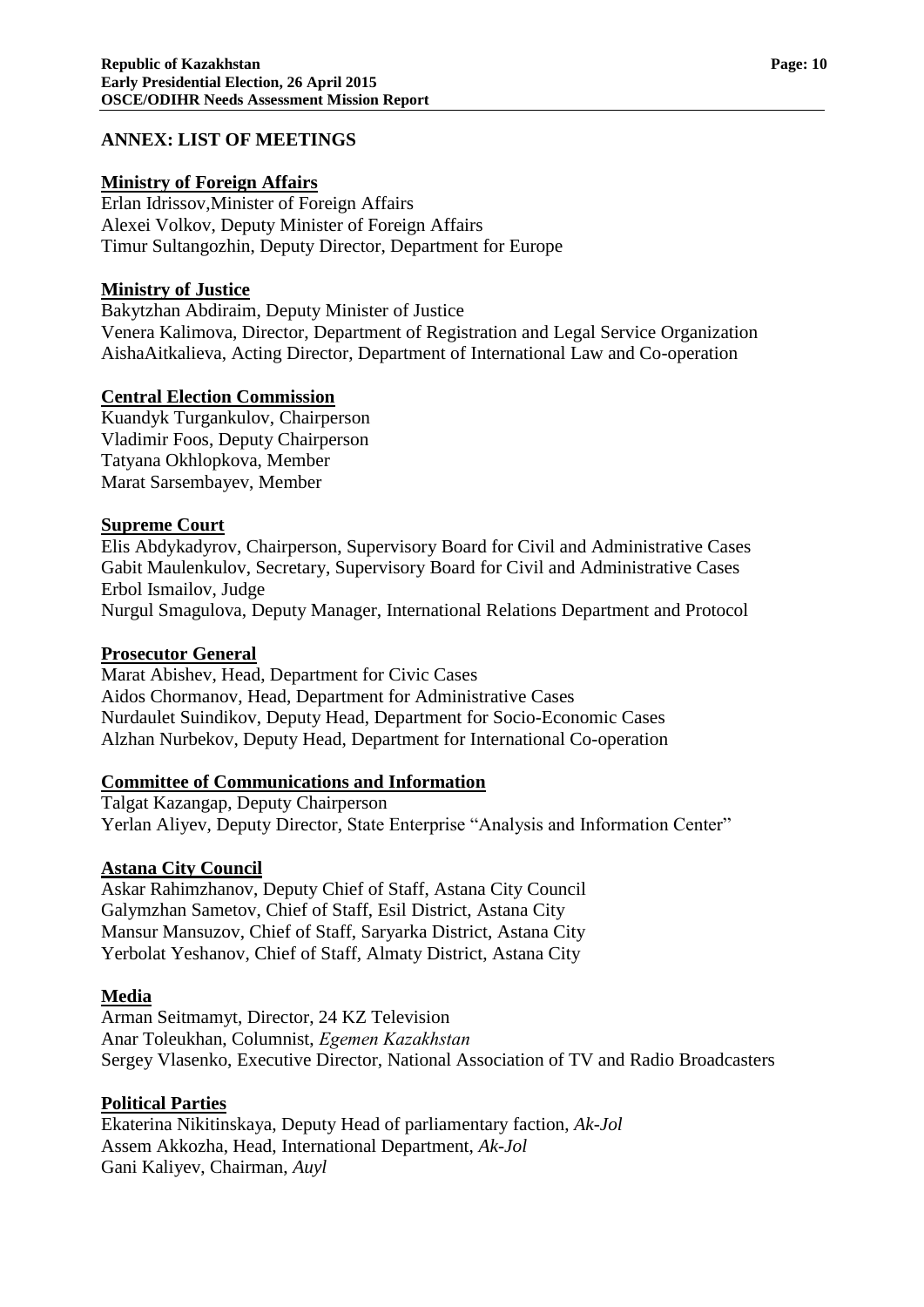#### **ANNEX: LIST OF MEETINGS**

#### **Ministry of Foreign Affairs**

Erlan Idrissov,Minister of Foreign Affairs Alexei Volkov, Deputy Minister of Foreign Affairs Timur Sultangozhin, Deputy Director, Department for Europe

#### **Ministry of Justice**

Bakytzhan Abdiraim, Deputy Minister of Justice Venera Kalimova, Director, Department of Registration and Legal Service Organization AishaAitkalieva, Acting Director, Department of International Law and Co-operation

#### **Central Election Commission**

Kuandyk Turgankulov, Chairperson Vladimir Foos, Deputy Chairperson Tatyana Okhlopkova, Member Marat Sarsembayev, Member

#### **Supreme Court**

Elis Abdykadyrov, Chairperson, Supervisory Board for Civil and Administrative Cases Gabit Maulenkulov, Secretary, Supervisory Board for Civil and Administrative Cases Erbol Ismailov, Judge Nurgul Smagulova, Deputy Manager, International Relations Department and Protocol

### **Prosecutor General**

Marat Abishev, Head, Department for Civic Cases Aidos Chormanov, Head, Department for Administrative Cases Nurdaulet Suindikov, Deputy Head, Department for Socio-Economic Cases Alzhan Nurbekov, Deputy Head, Department for International Co-operation

#### **Committee of Communications and Information**

Talgat Kazangap, Deputy Chairperson Yerlan Aliyev, Deputy Director, State Enterprise "Analysis and Information Center"

#### **Astana City Council**

Askar Rahimzhanov, Deputy Chief of Staff, Astana City Council Galymzhan Sametov, Chief of Staff, Esil District, Astana City Mansur Mansuzov, Chief of Staff, Saryarka District, Astana City Yerbolat Yeshanov, Chief of Staff, Almaty District, Astana City

#### **Media**

Arman Seitmamyt, Director, 24 KZ Television Anar Toleukhan, Columnist, *Еgemen Kazakhstan* Sergey Vlasenko, Executive Director, National Association of TV and Radio Broadcasters

#### **Political Parties**

Ekaterina Nikitinskaya, Deputy Head of parliamentary faction, *Ak-Jol* Assem Akkozha, Head, International Department, *Ak-Jol* Gani Kaliyev, Chairman, *Auyl*